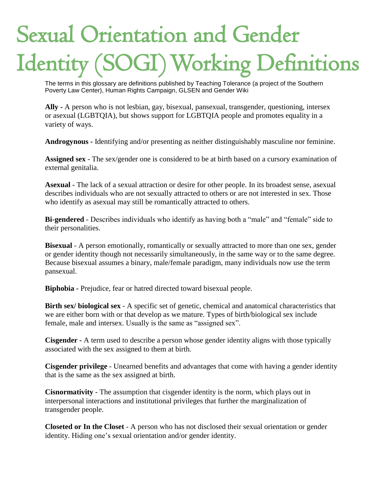## Sexual Orientation and Gender Identity (SOGI) Working Definitions

The terms in this glossary are definitions published by Teaching Tolerance (a project of the Southern Poverty Law Center), Human Rights Campaign, GLSEN and Gender Wiki The terms in this glossary are definitions pulproverty Law Center), Human Rights Campa

**Ally -** A person who is not lesbian, gay, bisexual, pansexual, transgender, questioning, intersex or asexual (LGBTQIA), but shows support for LGBTQIA people and promotes equality in a variety of ways.

**Androgynous -** Identifying and/or presenting as neither distinguishably masculine nor feminine.

**Assigned sex** - The sex/gender one is considered to be at birth based on a cursory examination of external genitalia.

**Asexual -** The lack of a sexual attraction or desire for other people. In its broadest sense, asexual describes individuals who are not sexually attracted to others or are not interested in sex. Those who identify as asexual may still be romantically attracted to others.

**Bi-gendered** - Describes individuals who identify as having both a "male" and "female" side to their personalities.

**Bisexual** - A person emotionally, romantically or sexually attracted to more than one sex, gender or gender identity though not necessarily simultaneously, in the same way or to the same degree. Because bisexual assumes a binary, male/female paradigm, many individuals now use the term pansexual.

**Biphobia -** Prejudice, fear or hatred directed toward bisexual people.

**Birth sex/ biological sex** - A specific set of genetic, chemical and anatomical characteristics that we are either born with or that develop as we mature. Types of birth/biological sex include female, male and intersex. Usually is the same as "assigned sex".

**Cisgender -** A term used to describe a person whose gender identity aligns with those typically associated with the sex assigned to them at birth.

**Cisgender privilege** - Unearned benefits and advantages that come with having a gender identity that is the same as the sex assigned at birth.

**Cisnormativity** - The assumption that cisgender identity is the norm, which plays out in interpersonal interactions and institutional privileges that further the marginalization of transgender people.

**Closeted or In the Closet** - A person who has not disclosed their sexual orientation or gender identity. Hiding one's sexual orientation and/or gender identity.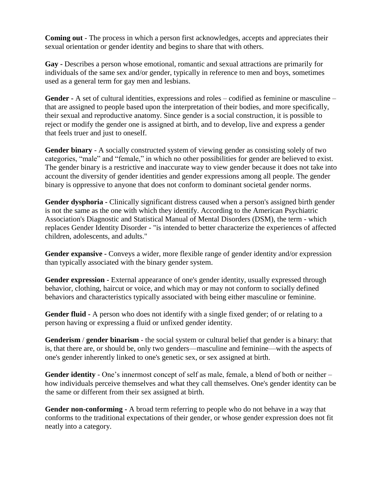**Coming out** - The process in which a person first acknowledges, accepts and appreciates their sexual orientation or gender identity and begins to share that with others.

**Gay -** Describes a person whose emotional, romantic and sexual attractions are primarily for individuals of the same sex and/or gender, typically in reference to men and boys, sometimes used as a general term for gay men and lesbians.

**Gender -** A set of cultural identities, expressions and roles – codified as feminine or masculine – that are assigned to people based upon the interpretation of their bodies, and more specifically, their sexual and reproductive anatomy. Since gender is a social construction, it is possible to reject or modify the gender one is assigned at birth, and to develop, live and express a gender that feels truer and just to oneself.

**Gender binary** - A socially constructed system of viewing gender as consisting solely of two categories, "male" and "female," in which no other possibilities for gender are believed to exist. The gender binary is a restrictive and inaccurate way to view gender because it does not take into account the diversity of gender identities and gender expressions among all people. The gender binary is oppressive to anyone that does not conform to dominant societal gender norms.

**Gender dysphoria -** Clinically significant distress caused when a person's assigned birth gender is not the same as the one with which they identify. According to the American Psychiatric Association's Diagnostic and Statistical Manual of Mental Disorders (DSM), the term - which replaces Gender Identity Disorder - "is intended to better characterize the experiences of affected children, adolescents, and adults."

**Gender expansive -** Conveys a wider, more flexible range of gender identity and/or expression than typically associated with the binary gender system.

**Gender expression -** External appearance of one's gender identity, usually expressed through behavior, clothing, haircut or voice, and which may or may not conform to socially defined behaviors and characteristics typically associated with being either masculine or feminine.

**Gender fluid -** A person who does not identify with a single fixed gender; of or relating to a person having or expressing a fluid or unfixed gender identity.

**Genderism** / **gender binarism** - the social system or cultural belief that gender is a binary: that is, that there are, or should be, only two genders—masculine and feminine—with the aspects of one's gender inherently linked to one's genetic sex, or sex assigned at birth.

**Gender identity** - One's innermost concept of self as male, female, a blend of both or neither – how individuals perceive themselves and what they call themselves. One's gender identity can be the same or different from their sex assigned at birth.

**Gender non-conforming -** A broad term referring to people who do not behave in a way that conforms to the traditional expectations of their gender, or whose gender expression does not fit neatly into a category.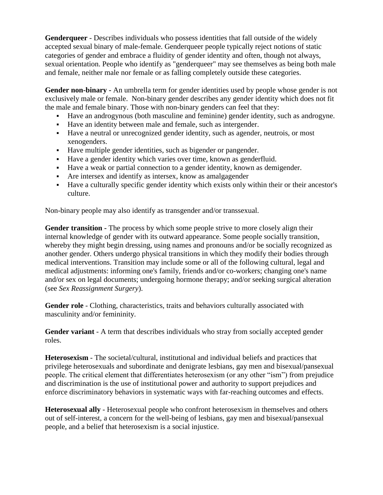**Genderqueer** - Describes individuals who possess identities that fall outside of the widely accepted sexual binary of male-female. Genderqueer people typically reject notions of static categories of gender and embrace a fluidity of gender identity and often, though not always, sexual orientation. People who identify as "genderqueer" may see themselves as being both male and female, neither male nor female or as falling completely outside these categories.

**Gender non-binary -** An umbrella term for gender identities used by people whose gender is not exclusively male or female. Non-binary gender describes any gender identity which does not fit th[e](http://gender.wikia.com/wiki/Gender_binary) [male](http://gender.wikia.com/wiki/Gender_binary) and [female](http://gender.wikia.com/wiki/Female) [binary.](http://gender.wikia.com/wiki/Binary_Genders) Those with non-binary genders can feel that they:

- Have an [androgynous](http://gender.wikia.com/wiki/Androgynous) (both [masculine](http://gender.wikia.com/wiki/Masculine) and [feminine\)](http://gender.wikia.com/wiki/Feminine) gender identity, such as [androgyne.](http://gender.wikia.com/wiki/Androgyne)
- Have an identity between male and female, such as [intergender.](http://gender.wikia.com/wiki/Intergender)
- Have a neutral or unrecognized gender identity, such as [agender,](http://gender.wikia.com/wiki/Agender) [neutrois,](http://gender.wikia.com/wiki/Neutrois) or most xenogenders.
- Have [multiple gender identities,](http://gender.wikia.com/wiki/Multigender) such as [bigender](http://gender.wikia.com/wiki/Bigender) or [pangender.](http://gender.wikia.com/wiki/Pangender)
- Have a gender identity which varies over time, known as [genderfluid.](http://gender.wikia.com/wiki/Genderfluid)
- Have a weak or partial connection to a gender identity, known as [demigender.](http://gender.wikia.com/wiki/Demigender)
- Are intersex and identify as intersex, know as [amalgagender](http://gender.wikia.com/wiki/Amalgagender)
- Have a [culturally specific gender identity](http://gender.wikia.com/wiki/Third_Gender) which exists only within their or their ancestor's culture.

Non-binary people may also identify as [transgender](http://gender.wikia.com/wiki/Transgender) and/or [transsexual.](http://gender.wikia.com/wiki/Transsexual)

**Gender transition -** The process by which some people strive to more closely align their internal knowledge of gender with its outward appearance. Some people socially transition, whereby they might begin dressing, using names and pronouns and/or be socially recognized as another gender. Others undergo physical transitions in which they modify their bodies through medical interventions. Transition may include some or all of the following cultural, legal and medical adjustments: informing one's family, friends and/or co-workers; changing one's name and/or sex on legal documents; undergoing hormone therapy; and/or seeking surgical alteration (see *Sex Reassignment Surgery*).

Gender role - Clothing, characteristics, traits and behaviors culturally associated with masculinity and/or femininity.

**Gender variant** - A term that describes individuals who stray from socially accepted gender roles.

**Heterosexism** - The societal/cultural, institutional and individual beliefs and practices that privilege heterosexuals and subordinate and denigrate lesbians, gay men and bisexual/pansexual people. The critical element that differentiates heterosexism (or any other "ism") from prejudice and discrimination is the use of institutional power and authority to support prejudices and enforce discriminatory behaviors in systematic ways with far-reaching outcomes and effects.

**Heterosexual ally** - Heterosexual people who confront heterosexism in themselves and others out of self-interest, a concern for the well-being of lesbians, gay men and bisexual/pansexual people, and a belief that heterosexism is a social injustice.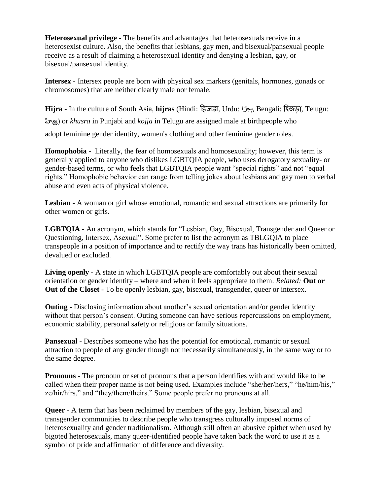**Heterosexual privilege** - The benefits and advantages that heterosexuals receive in a heterosexist culture. Also, the benefits that lesbians, gay men, and bisexual/pansexual people receive as a result of claiming a heterosexual identity and denying a lesbian, gay, or bisexual/pansexual identity.

**Intersex** - Intersex people are born with physical sex markers (genitals, hormones, gonads or chromosomes) that are neither clearly male nor female.

**Hijra** - In the culture of South Asia, **hijras** (Hindi: हिजड़ा, Urdu: ہِڑج ا, Bengali: হিজড়া, Telugu: హిజ్ర) or *khusra* in Punjabi and *kojja* in Telugu are [assigned male at birthp](http://gender.wikia.com/wiki/AMAB)eople who adopt [feminine](http://gender.wikia.com/wiki/Feminine) [gender identity,](http://gender.wikia.com/wiki/Gender_identity) women's clothing and other feminine [gender roles.](http://gender.wikia.com/wiki/Gender_roles)

**Homophobia -** Literally, the fear of homosexuals and homosexuality; however, this term is generally applied to anyone who dislikes LGBTQIA people, who uses derogatory sexuality- or gender-based terms, or who feels that LGBTQIA people want "special rights" and not "equal rights." Homophobic behavior can range from telling jokes about lesbians and gay men to verbal abuse and even acts of physical violence.

**Lesbian** - A woman or girl whose emotional, romantic and sexual attractions are primarily for other women or girls.

**LGBTQIA** - An acronym, which stands for "Lesbian, Gay, Bisexual, Transgender and Queer or Questioning, Intersex, Asexual". Some prefer to list the acronym as TBLGQIA to place transpeople in a position of importance and to rectify the way trans has historically been omitted, devalued or excluded.

**Living openly -** A state in which LGBTQIA people are comfortably out about their sexual orientation or gender identity – where and when it feels appropriate to them. *Related:* **Out or Out of the Closet** - To be openly lesbian, gay, bisexual, transgender, queer or intersex.

**Outing -** Disclosing information about another's sexual orientation and/or gender identity without that person's consent. Outing someone can have serious repercussions on employment, economic stability, personal safety or religious or family situations.

**Pansexual -** Describes someone who has the potential for emotional, romantic or sexual attraction to people of any gender though not necessarily simultaneously, in the same way or to the same degree.

**Pronouns -** The pronoun or set of pronouns that a person identifies with and would like to be called when their proper name is not being used. Examples include "she/her/hers," "he/him/his," ze/hir/hirs," and "they/them/theirs." Some people prefer no pronouns at all.

**Queer** - A term that has been reclaimed by members of the gay, lesbian, bisexual and transgender communities to describe people who transgress culturally imposed norms of heterosexuality and gender traditionalism. Although still often an abusive epithet when used by bigoted heterosexuals, many queer-identified people have taken back the word to use it as a symbol of pride and affirmation of difference and diversity.